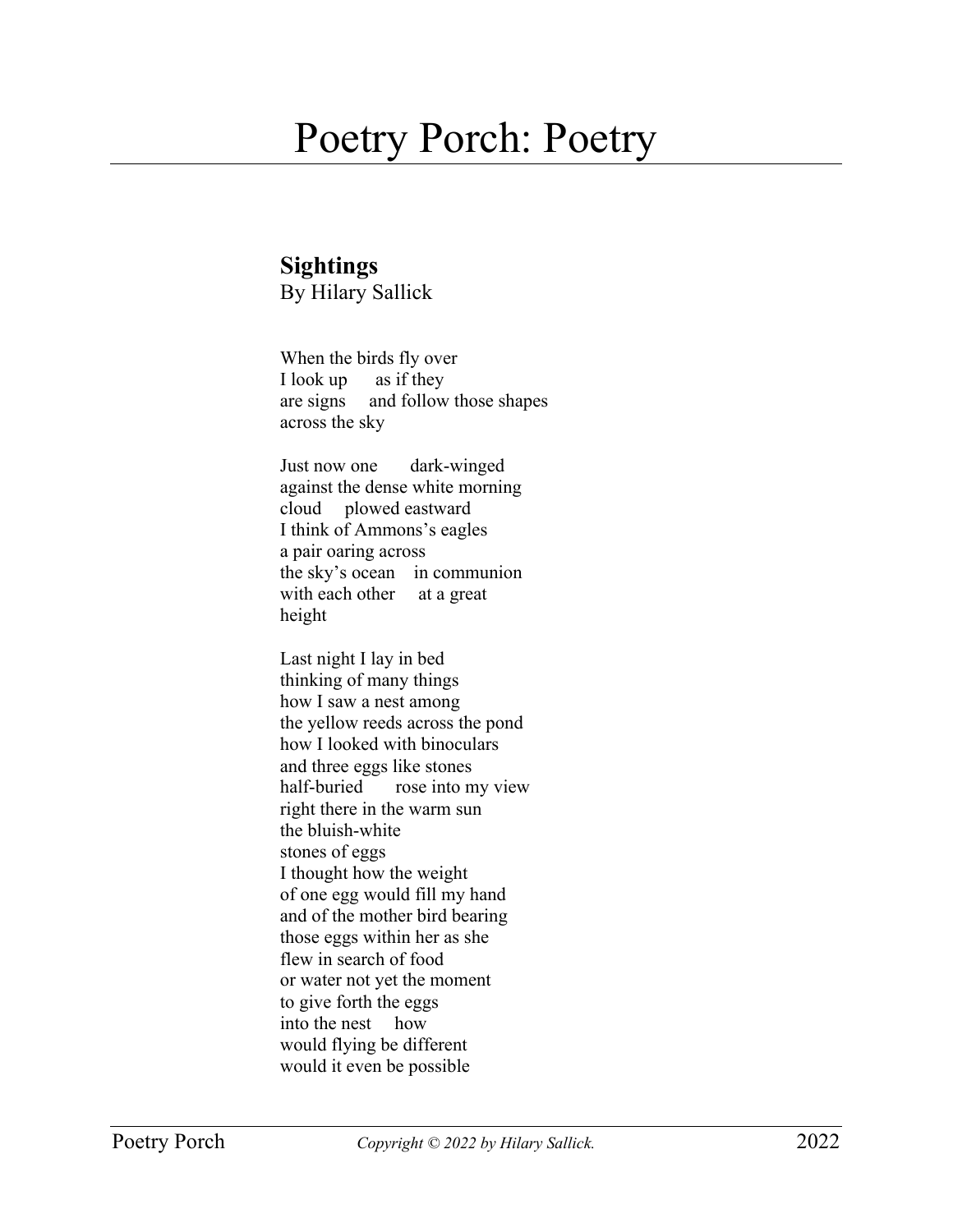## Poetry Porch: Poetry

## **Sightings**

By Hilary Sallick

When the birds fly over I look up as if they are signs and follow those shapes across the sky

Just now one dark-winged against the dense white morning cloud plowed eastward I think of Ammons's eagles a pair oaring across the sky's ocean in communion with each other at a great height

Last night I lay in bed thinking of many things how I saw a nest among the yellow reeds across the pond how I looked with binoculars and three eggs like stones half-buried rose into my view right there in the warm sun the bluish-white stones of eggs I thought how the weight of one egg would fill my hand and of the mother bird bearing those eggs within her as she flew in search of food or water not yet the moment to give forth the eggs into the nest how would flying be different would it even be possible